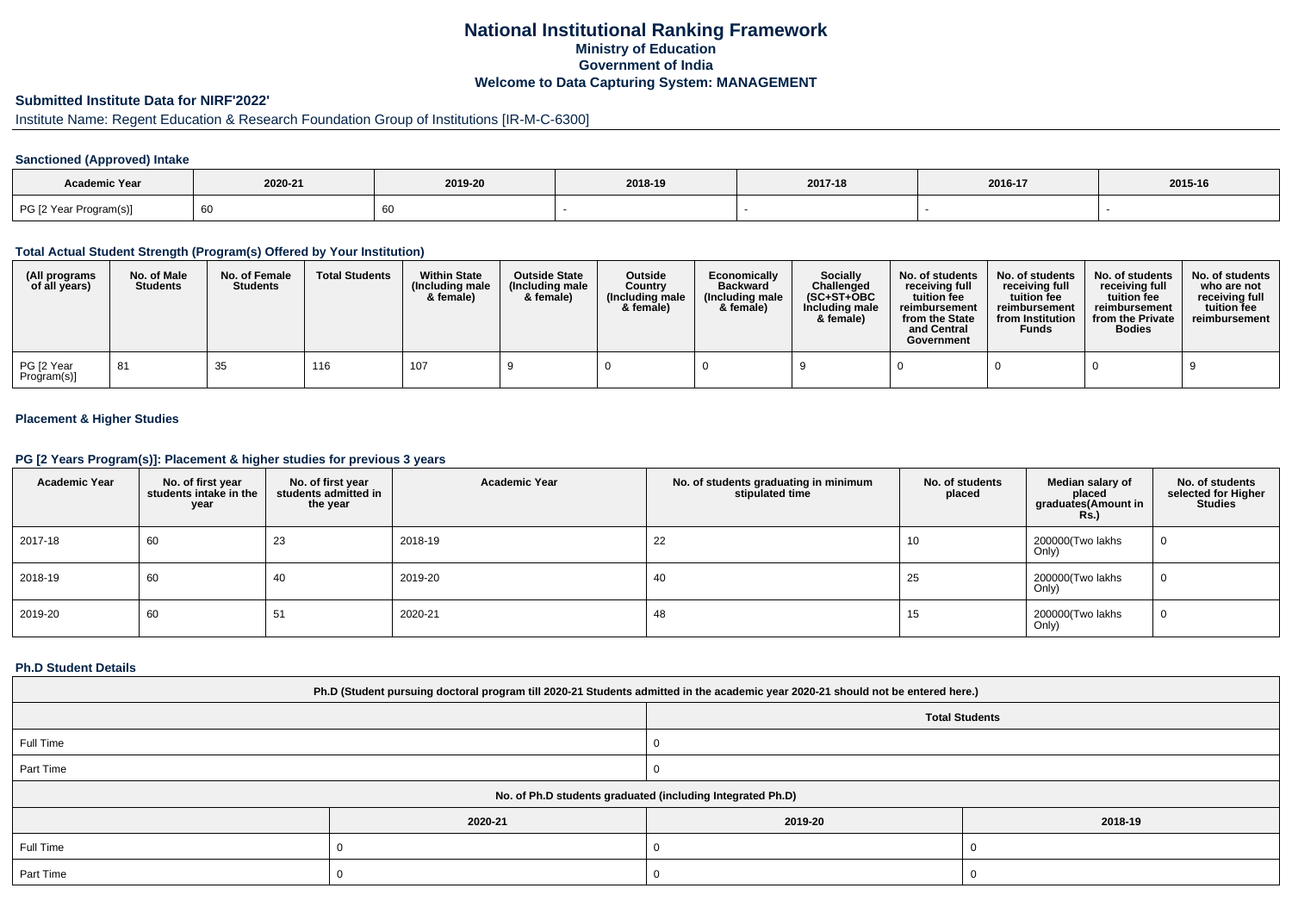# **National Institutional Ranking FrameworkMinistry of Education Government of IndiaWelcome to Data Capturing System: MANAGEMENT**

# **Submitted Institute Data for NIRF'2022'**

# Institute Name: Regent Education & Research Foundation Group of Institutions [IR-M-C-6300]

## **Sanctioned (Approved) Intake**

| Academic Year          |         |         |         |         |         |         |
|------------------------|---------|---------|---------|---------|---------|---------|
|                        | 2020-21 | 2019-20 | 2018-19 | 2017-18 | 2016-17 | 2015-16 |
| PG [2 Year Program(s)] | ັບເ     |         |         |         |         |         |

#### **Total Actual Student Strength (Program(s) Offered by Your Institution)**

| (All programs<br>of all years) | No. of Male<br><b>Students</b> | No. of Female<br><b>Students</b> | <b>Total Students</b> | <b>Within State</b><br>(Including male)<br>& female) | <b>Outside State</b><br>(Including male<br>& female) | Outside<br>Country<br>(Including male)<br>& female) | Economically<br><b>Backward</b><br>(Including male<br>& female) | Socially<br>Challenged<br>$(SC+ST+OBC$<br>Including male<br>& female) | No. of students<br>receiving full<br>tuition fee<br>reimbursement<br>from the State<br>and Central<br>Government | No. of students<br>receiving full<br>tuition fee<br>reimbursement<br>from Institution<br><b>Funds</b> | No. of students<br>receiving full<br>tuition fee<br>reimbursement<br>from the Private<br><b>Bodies</b> | No. of students<br>who are not<br>receiving full<br>tuition fee<br>reimbursement |
|--------------------------------|--------------------------------|----------------------------------|-----------------------|------------------------------------------------------|------------------------------------------------------|-----------------------------------------------------|-----------------------------------------------------------------|-----------------------------------------------------------------------|------------------------------------------------------------------------------------------------------------------|-------------------------------------------------------------------------------------------------------|--------------------------------------------------------------------------------------------------------|----------------------------------------------------------------------------------|
| PG [2 Year<br>Program(s)]      | -81                            | 35                               | 116                   | 107                                                  |                                                      |                                                     |                                                                 |                                                                       |                                                                                                                  |                                                                                                       |                                                                                                        |                                                                                  |

## **Placement & Higher Studies**

#### **PG [2 Years Program(s)]: Placement & higher studies for previous 3 years**

| <b>Academic Year</b> | No. of first year<br>students intake in the<br>year | No. of first year<br>students admitted in<br>the year | <b>Academic Year</b> | No. of students graduating in minimum<br>stipulated time | No. of students<br>placed | Median salary of<br>placed<br>graduates(Amount in<br>Rs. | No. of students<br>selected for Higher<br><b>Studies</b> |
|----------------------|-----------------------------------------------------|-------------------------------------------------------|----------------------|----------------------------------------------------------|---------------------------|----------------------------------------------------------|----------------------------------------------------------|
| 2017-18              | 60                                                  | 23                                                    | 2018-19              | 22                                                       | 10                        | 200000(Two lakhs<br>Only)                                | 0                                                        |
| 2018-19              | 60                                                  | 40                                                    | 2019-20              | 40                                                       | 25                        | 200000(Two lakhs<br>Only)                                | 0                                                        |
| 2019-20              | 60                                                  | 51                                                    | 2020-21              | 48                                                       | 15                        | 200000(Two lakhs<br>Only)                                | 0                                                        |

#### **Ph.D Student Details**

| Ph.D (Student pursuing doctoral program till 2020-21 Students admitted in the academic year 2020-21 should not be entered here.) |         |         |         |  |  |  |
|----------------------------------------------------------------------------------------------------------------------------------|---------|---------|---------|--|--|--|
| <b>Total Students</b>                                                                                                            |         |         |         |  |  |  |
| Full Time                                                                                                                        |         |         |         |  |  |  |
| Part Time                                                                                                                        |         |         |         |  |  |  |
| No. of Ph.D students graduated (including Integrated Ph.D)                                                                       |         |         |         |  |  |  |
|                                                                                                                                  | 2020-21 | 2019-20 | 2018-19 |  |  |  |
| Full Time                                                                                                                        |         |         |         |  |  |  |
| Part Time                                                                                                                        |         |         |         |  |  |  |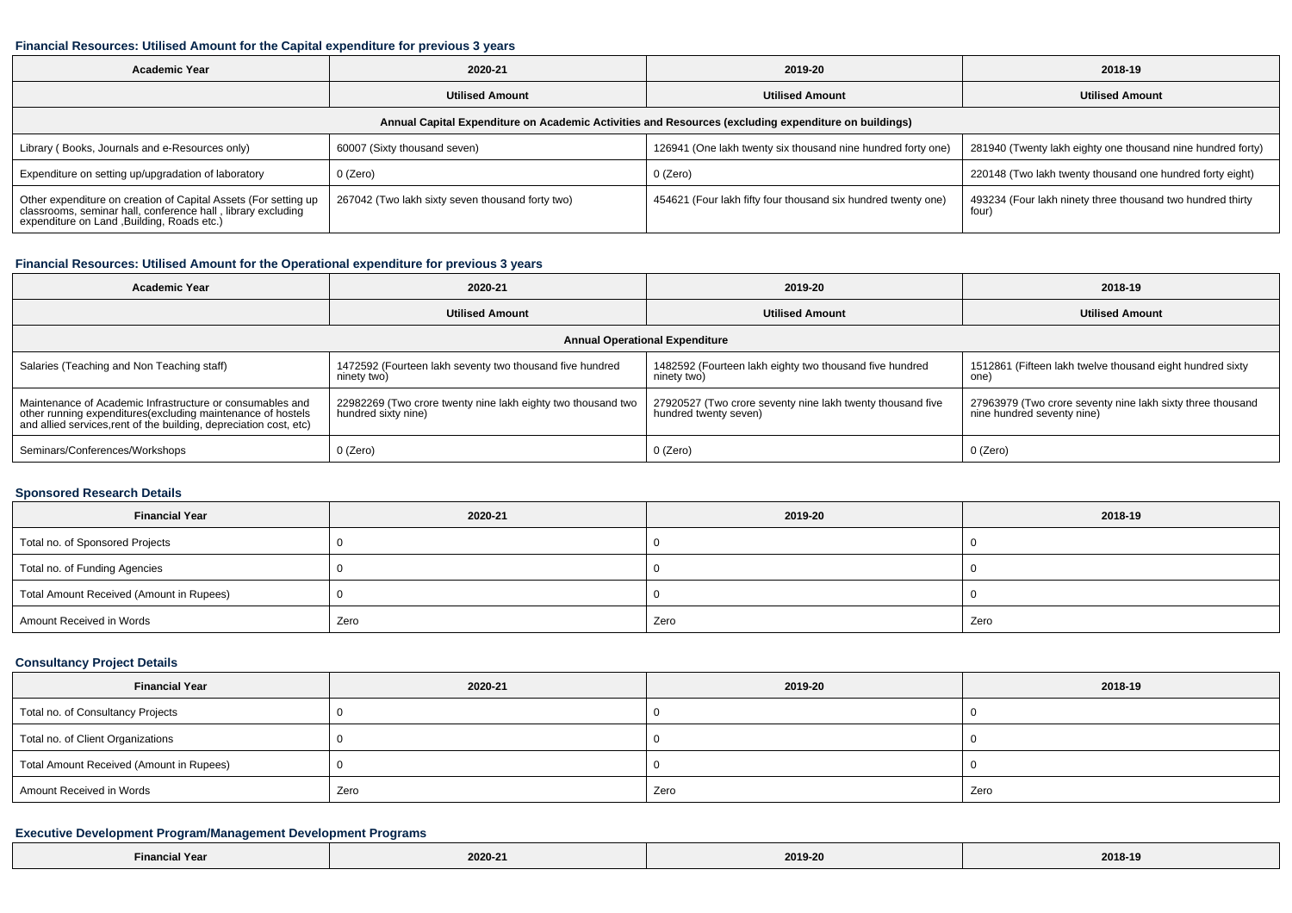#### **Financial Resources: Utilised Amount for the Capital expenditure for previous 3 years**

| <b>Academic Year</b>                                                                                                                                                        | 2020-21                                          | 2019-20                                                       | 2018-19                                                             |  |  |  |  |  |
|-----------------------------------------------------------------------------------------------------------------------------------------------------------------------------|--------------------------------------------------|---------------------------------------------------------------|---------------------------------------------------------------------|--|--|--|--|--|
|                                                                                                                                                                             | <b>Utilised Amount</b>                           | <b>Utilised Amount</b>                                        | <b>Utilised Amount</b>                                              |  |  |  |  |  |
| Annual Capital Expenditure on Academic Activities and Resources (excluding expenditure on buildings)                                                                        |                                                  |                                                               |                                                                     |  |  |  |  |  |
| Library (Books, Journals and e-Resources only)                                                                                                                              | 60007 (Sixty thousand seven)                     | 126941 (One lakh twenty six thousand nine hundred forty one)  | 281940 (Twenty lakh eighty one thousand nine hundred forty)         |  |  |  |  |  |
| Expenditure on setting up/upgradation of laboratory                                                                                                                         | 0 (Zero)                                         | 0 (Zero)                                                      | 220148 (Two lakh twenty thousand one hundred forty eight)           |  |  |  |  |  |
| Other expenditure on creation of Capital Assets (For setting up classrooms, seminar hall, conference hall, library excluding<br>expenditure on Land , Building, Roads etc.) | 267042 (Two lakh sixty seven thousand forty two) | 454621 (Four lakh fifty four thousand six hundred twenty one) | 493234 (Four lakh ninety three thousand two hundred thirty<br>four) |  |  |  |  |  |

## **Financial Resources: Utilised Amount for the Operational expenditure for previous 3 years**

| <b>Academic Year</b>                                                                                                                                                                            | 2020-21                                                                             | 2019-20                                                                             | 2018-19                                                                                  |  |  |  |  |  |
|-------------------------------------------------------------------------------------------------------------------------------------------------------------------------------------------------|-------------------------------------------------------------------------------------|-------------------------------------------------------------------------------------|------------------------------------------------------------------------------------------|--|--|--|--|--|
|                                                                                                                                                                                                 | <b>Utilised Amount</b>                                                              | <b>Utilised Amount</b>                                                              | <b>Utilised Amount</b>                                                                   |  |  |  |  |  |
| <b>Annual Operational Expenditure</b>                                                                                                                                                           |                                                                                     |                                                                                     |                                                                                          |  |  |  |  |  |
| Salaries (Teaching and Non Teaching staff)                                                                                                                                                      | 1472592 (Fourteen lakh seventy two thousand five hundred<br>ninety two)             | 1482592 (Fourteen lakh eighty two thousand five hundred<br>ninety two)              | 1512861 (Fifteen lakh twelve thousand eight hundred sixty<br>one)                        |  |  |  |  |  |
| Maintenance of Academic Infrastructure or consumables and<br>other running expenditures (excluding maintenance of hostels<br>and allied services, rent of the building, depreciation cost, etc) | 22982269 (Two crore twenty nine lakh eighty two thousand two<br>hundred sixty nine) | 27920527 (Two crore seventy nine lakh twenty thousand five<br>hundred twenty seven) | 27963979 (Two crore seventy nine lakh sixty three thousand<br>nine hundred seventy nine) |  |  |  |  |  |
| Seminars/Conferences/Workshops                                                                                                                                                                  | $0$ (Zero)                                                                          | 0 (Zero)                                                                            | 0 (Zero)                                                                                 |  |  |  |  |  |

## **Sponsored Research Details**

| <b>Financial Year</b>                    | 2020-21 | 2019-20 | 2018-19 |
|------------------------------------------|---------|---------|---------|
| Total no. of Sponsored Projects          |         |         |         |
| Total no. of Funding Agencies            |         |         |         |
| Total Amount Received (Amount in Rupees) |         |         |         |
| Amount Received in Words                 | Zero    | Zero    | Zero    |

## **Consultancy Project Details**

| <b>Financial Year</b>                    | 2020-21 | 2019-20 | 2018-19 |
|------------------------------------------|---------|---------|---------|
| Total no. of Consultancy Projects        |         |         |         |
| Total no. of Client Organizations        |         |         |         |
| Total Amount Received (Amount in Rupees) |         |         |         |
| Amount Received in Words                 | Zero    | Zero    | Zero    |

## **Executive Development Program/Management Development Programs**

| $\cdots$<br>Year<br>Financ. | 2020-21 | 2019-20 | 2018-19 |
|-----------------------------|---------|---------|---------|
|-----------------------------|---------|---------|---------|